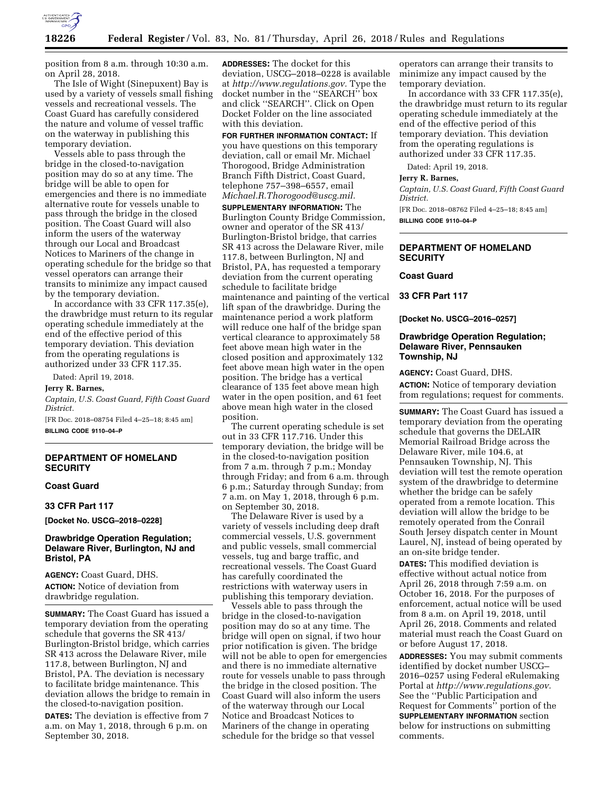

position from 8 a.m. through 10:30 a.m. on April 28, 2018.

The Isle of Wight (Sinepuxent) Bay is used by a variety of vessels small fishing vessels and recreational vessels. The Coast Guard has carefully considered the nature and volume of vessel traffic on the waterway in publishing this temporary deviation.

Vessels able to pass through the bridge in the closed-to-navigation position may do so at any time. The bridge will be able to open for emergencies and there is no immediate alternative route for vessels unable to pass through the bridge in the closed position. The Coast Guard will also inform the users of the waterway through our Local and Broadcast Notices to Mariners of the change in operating schedule for the bridge so that vessel operators can arrange their transits to minimize any impact caused by the temporary deviation.

In accordance with 33 CFR 117.35(e), the drawbridge must return to its regular operating schedule immediately at the end of the effective period of this temporary deviation. This deviation from the operating regulations is authorized under 33 CFR 117.35.

Dated: April 19, 2018.

#### **Jerry R. Barnes,**

*Captain, U.S. Coast Guard, Fifth Coast Guard District.* 

[FR Doc. 2018–08754 Filed 4–25–18; 8:45 am] **BILLING CODE 9110–04–P** 

# **DEPARTMENT OF HOMELAND SECURITY**

## **Coast Guard**

#### **33 CFR Part 117**

**[Docket No. USCG–2018–0228]** 

# **Drawbridge Operation Regulation; Delaware River, Burlington, NJ and Bristol, PA**

**AGENCY:** Coast Guard, DHS. **ACTION:** Notice of deviation from drawbridge regulation.

**SUMMARY:** The Coast Guard has issued a temporary deviation from the operating schedule that governs the SR 413/ Burlington-Bristol bridge, which carries SR 413 across the Delaware River, mile 117.8, between Burlington, NJ and Bristol, PA. The deviation is necessary to facilitate bridge maintenance. This deviation allows the bridge to remain in the closed-to-navigation position.

**DATES:** The deviation is effective from 7 a.m. on May 1, 2018, through 6 p.m. on September 30, 2018.

**ADDRESSES:** The docket for this deviation, USCG–2018–0228 is available at *[http://www.regulations.gov.](http://www.regulations.gov)* Type the docket number in the ''SEARCH'' box and click ''SEARCH''. Click on Open Docket Folder on the line associated with this deviation.

**FOR FURTHER INFORMATION CONTACT:** If you have questions on this temporary deviation, call or email Mr. Michael Thorogood, Bridge Administration Branch Fifth District, Coast Guard, telephone 757–398–6557, email *[Michael.R.Thorogood@uscg.mil.](mailto:Michael.R.Thorogood@uscg.mil)*  **SUPPLEMENTARY INFORMATION:** The Burlington County Bridge Commission, owner and operator of the SR 413/ Burlington-Bristol bridge, that carries SR 413 across the Delaware River, mile 117.8, between Burlington, NJ and Bristol, PA, has requested a temporary deviation from the current operating schedule to facilitate bridge maintenance and painting of the vertical lift span of the drawbridge. During the maintenance period a work platform will reduce one half of the bridge span vertical clearance to approximately 58 feet above mean high water in the closed position and approximately 132 feet above mean high water in the open position. The bridge has a vertical clearance of 135 feet above mean high water in the open position, and 61 feet above mean high water in the closed position.

The current operating schedule is set out in 33 CFR 117.716. Under this temporary deviation, the bridge will be in the closed-to-navigation position from 7 a.m. through 7 p.m.; Monday through Friday; and from 6 a.m. through 6 p.m.; Saturday through Sunday; from 7 a.m. on May 1, 2018, through 6 p.m. on September 30, 2018.

The Delaware River is used by a variety of vessels including deep draft commercial vessels, U.S. government and public vessels, small commercial vessels, tug and barge traffic, and recreational vessels. The Coast Guard has carefully coordinated the restrictions with waterway users in publishing this temporary deviation.

Vessels able to pass through the bridge in the closed-to-navigation position may do so at any time. The bridge will open on signal, if two hour prior notification is given. The bridge will not be able to open for emergencies and there is no immediate alternative route for vessels unable to pass through the bridge in the closed position. The Coast Guard will also inform the users of the waterway through our Local Notice and Broadcast Notices to Mariners of the change in operating schedule for the bridge so that vessel

operators can arrange their transits to minimize any impact caused by the temporary deviation.

In accordance with 33 CFR 117.35(e), the drawbridge must return to its regular operating schedule immediately at the end of the effective period of this temporary deviation. This deviation from the operating regulations is authorized under 33 CFR 117.35.

Dated: April 19, 2018.

#### **Jerry R. Barnes,**

*Captain, U.S. Coast Guard, Fifth Coast Guard District.* 

[FR Doc. 2018–08762 Filed 4–25–18; 8:45 am] **BILLING CODE 9110–04–P** 

# **DEPARTMENT OF HOMELAND SECURITY**

## **Coast Guard**

#### **33 CFR Part 117**

**[Docket No. USCG–2016–0257]** 

# **Drawbridge Operation Regulation; Delaware River, Pennsauken Township, NJ**

**AGENCY:** Coast Guard, DHS.

**ACTION:** Notice of temporary deviation from regulations; request for comments.

**SUMMARY:** The Coast Guard has issued a temporary deviation from the operating schedule that governs the DELAIR Memorial Railroad Bridge across the Delaware River, mile 104.6, at Pennsauken Township, NJ. This deviation will test the remote operation system of the drawbridge to determine whether the bridge can be safely operated from a remote location. This deviation will allow the bridge to be remotely operated from the Conrail South Jersey dispatch center in Mount Laurel, NJ, instead of being operated by an on-site bridge tender.

**DATES:** This modified deviation is effective without actual notice from April 26, 2018 through 7:59 a.m. on October 16, 2018. For the purposes of enforcement, actual notice will be used from 8 a.m. on April 19, 2018, until April 26, 2018. Comments and related material must reach the Coast Guard on or before August 17, 2018.

**ADDRESSES:** You may submit comments identified by docket number USCG– 2016–0257 using Federal eRulemaking Portal at *[http://www.regulations.gov.](http://www.regulations.gov)*  See the ''Public Participation and Request for Comments'' portion of the **SUPPLEMENTARY INFORMATION** section below for instructions on submitting comments.